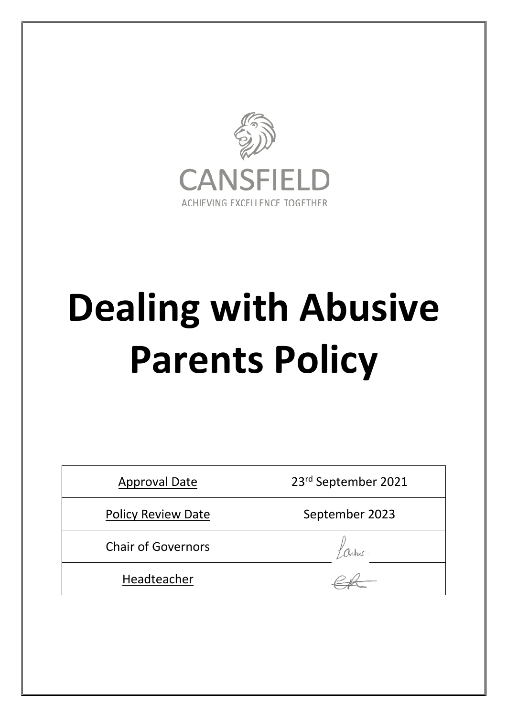

# **Dealing with Abusive Parents Policy**

| <b>Approval Date</b>      | 23rd September 2021 |
|---------------------------|---------------------|
| <b>Policy Review Date</b> | September 2023      |
| <b>Chair of Governors</b> |                     |
| Headteacher               |                     |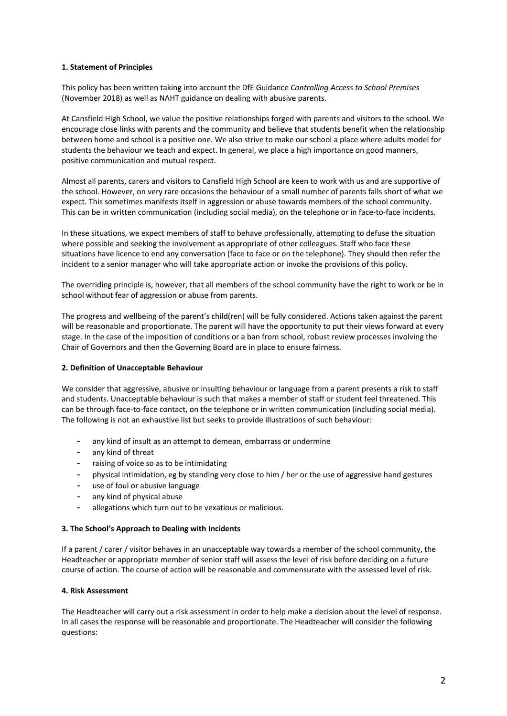# **1. Statement of Principles**

This policy has been written taking into account the DfE Guidance *Controlling Access to School Premises*  (November 2018) as well as NAHT guidance on dealing with abusive parents.

At Cansfield High School, we value the positive relationships forged with parents and visitors to the school. We encourage close links with parents and the community and believe that students benefit when the relationship between home and school is a positive one. We also strive to make our school a place where adults model for students the behaviour we teach and expect. In general, we place a high importance on good manners, positive communication and mutual respect.

Almost all parents, carers and visitors to Cansfield High School are keen to work with us and are supportive of the school. However, on very rare occasions the behaviour of a small number of parents falls short of what we expect. This sometimes manifests itself in aggression or abuse towards members of the school community. This can be in written communication (including social media), on the telephone or in face-to-face incidents.

In these situations, we expect members of staff to behave professionally, attempting to defuse the situation where possible and seeking the involvement as appropriate of other colleagues. Staff who face these situations have licence to end any conversation (face to face or on the telephone). They should then refer the incident to a senior manager who will take appropriate action or invoke the provisions of this policy.

The overriding principle is, however, that all members of the school community have the right to work or be in school without fear of aggression or abuse from parents.

The progress and wellbeing of the parent's child(ren) will be fully considered. Actions taken against the parent will be reasonable and proportionate. The parent will have the opportunity to put their views forward at every stage. In the case of the imposition of conditions or a ban from school, robust review processes involving the Chair of Governors and then the Governing Board are in place to ensure fairness.

# **2. Definition of Unacceptable Behaviour**

We consider that aggressive, abusive or insulting behaviour or language from a parent presents a risk to staff and students. Unacceptable behaviour is such that makes a member of staff or student feel threatened. This can be through face-to-face contact, on the telephone or in written communication (including social media). The following is not an exhaustive list but seeks to provide illustrations of such behaviour:

- any kind of insult as an attempt to demean, embarrass or undermine
- any kind of threat
- raising of voice so as to be intimidating
- physical intimidation, eg by standing very close to him / her or the use of aggressive hand gestures
- use of foul or abusive language
- any kind of physical abuse
- allegations which turn out to be vexatious or malicious.

# **3. The School's Approach to Dealing with Incidents**

If a parent / carer / visitor behaves in an unacceptable way towards a member of the school community, the Headteacher or appropriate member of senior staff will assess the level of risk before deciding on a future course of action. The course of action will be reasonable and commensurate with the assessed level of risk.

# **4. Risk Assessment**

The Headteacher will carry out a risk assessment in order to help make a decision about the level of response. In all cases the response will be reasonable and proportionate. The Headteacher will consider the following questions: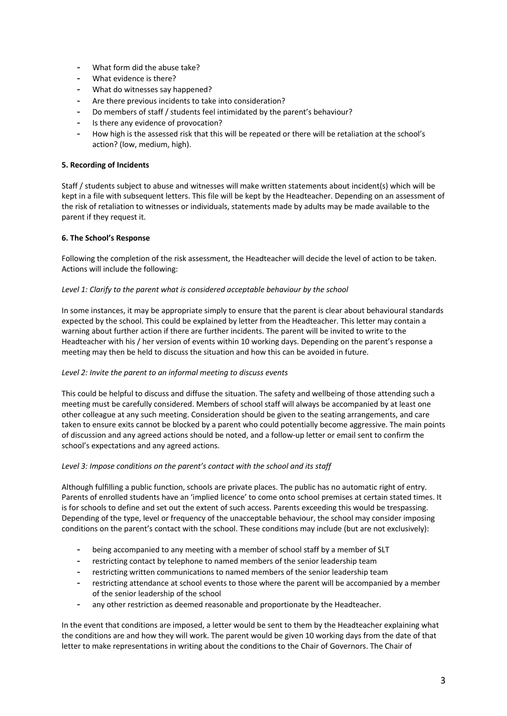- What form did the abuse take?
- What evidence is there?
- What do witnesses say happened?
- Are there previous incidents to take into consideration?
- Do members of staff / students feel intimidated by the parent's behaviour?
- Is there any evidence of provocation?
- How high is the assessed risk that this will be repeated or there will be retaliation at the school's action? (low, medium, high).

# **5. Recording of Incidents**

Staff / students subject to abuse and witnesses will make written statements about incident(s) which will be kept in a file with subsequent letters. This file will be kept by the Headteacher. Depending on an assessment of the risk of retaliation to witnesses or individuals, statements made by adults may be made available to the parent if they request it.

# **6. The School's Response**

Following the completion of the risk assessment, the Headteacher will decide the level of action to be taken. Actions will include the following:

# *Level 1: Clarify to the parent what is considered acceptable behaviour by the school*

In some instances, it may be appropriate simply to ensure that the parent is clear about behavioural standards expected by the school. This could be explained by letter from the Headteacher. This letter may contain a warning about further action if there are further incidents. The parent will be invited to write to the Headteacher with his / her version of events within 10 working days. Depending on the parent's response a meeting may then be held to discuss the situation and how this can be avoided in future.

# *Level 2: Invite the parent to an informal meeting to discuss events*

This could be helpful to discuss and diffuse the situation. The safety and wellbeing of those attending such a meeting must be carefully considered. Members of school staff will always be accompanied by at least one other colleague at any such meeting. Consideration should be given to the seating arrangements, and care taken to ensure exits cannot be blocked by a parent who could potentially become aggressive. The main points of discussion and any agreed actions should be noted, and a follow-up letter or email sent to confirm the school's expectations and any agreed actions.

# *Level 3: Impose conditions on the parent's contact with the school and its staff*

Although fulfilling a public function, schools are private places. The public has no automatic right of entry. Parents of enrolled students have an 'implied licence' to come onto school premises at certain stated times. It is for schools to define and set out the extent of such access. Parents exceeding this would be trespassing. Depending of the type, level or frequency of the unacceptable behaviour, the school may consider imposing conditions on the parent's contact with the school. These conditions may include (but are not exclusively):

- being accompanied to any meeting with a member of school staff by a member of SLT
- restricting contact by telephone to named members of the senior leadership team
- restricting written communications to named members of the senior leadership team
- restricting attendance at school events to those where the parent will be accompanied by a member of the senior leadership of the school
- any other restriction as deemed reasonable and proportionate by the Headteacher.

In the event that conditions are imposed, a letter would be sent to them by the Headteacher explaining what the conditions are and how they will work. The parent would be given 10 working days from the date of that letter to make representations in writing about the conditions to the Chair of Governors. The Chair of